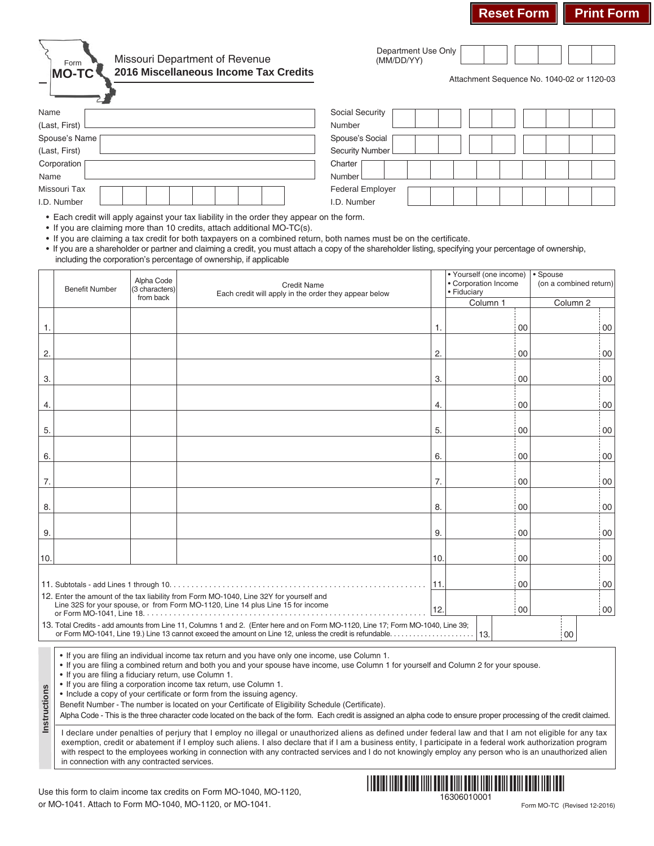

# Missouri Department of Revenue **2016 Miscellaneous Income Tax Credits**

Department Use Only (MM/DD/YY)

Attachment Sequence No. 1040-02 or 1120-03

| Name            | <b>Social Security</b>  |
|-----------------|-------------------------|
| (Last, First)   | Number                  |
| Spouse's Name [ | Spouse's Social         |
| (Last, First)   | Security Number         |
| Corporation     | Charter                 |
| Name            | Number                  |
| Missouri Tax    | <b>Federal Employer</b> |
| I.D. Number     | I.D. Number             |

• Each credit will apply against your tax liability in the order they appear on the form.

• If you are claiming more than 10 credits, attach additional MO-TC(s).

• If you are claiming a tax credit for both taxpayers on a combined return, both names must be on the certificate.

• If you are a shareholder or partner and claiming a credit, you must attach a copy of the shareholder listing, specifying your percentage of ownership, including the corporation's percentage of ownership, if applicable

|     | <b>Benefit Number</b>                                                                                                                 | Alpha Code<br>(3 characters) | <b>Credit Name</b>                                                                                                                                                        |      | • Yourself (one income)<br>• Corporation Income | $\cdot$ Spouse<br>(on a combined return) |
|-----|---------------------------------------------------------------------------------------------------------------------------------------|------------------------------|---------------------------------------------------------------------------------------------------------------------------------------------------------------------------|------|-------------------------------------------------|------------------------------------------|
|     |                                                                                                                                       | from back                    | Each credit will apply in the order they appear below                                                                                                                     |      | · Fiduciary<br>Column <sub>1</sub>              | Column <sub>2</sub>                      |
| 1.  |                                                                                                                                       |                              |                                                                                                                                                                           | 1.   | 00                                              | 00                                       |
| 2.  |                                                                                                                                       |                              |                                                                                                                                                                           | 2.   | : 00                                            | 00                                       |
| 3.  |                                                                                                                                       |                              |                                                                                                                                                                           | 3.   | : 00                                            | 00                                       |
| 4.  |                                                                                                                                       |                              |                                                                                                                                                                           | 4.   | : 00                                            | 00                                       |
| 5.  |                                                                                                                                       |                              |                                                                                                                                                                           | 5.   | : 00                                            | 00                                       |
| 6.  |                                                                                                                                       |                              |                                                                                                                                                                           | 6.   | 00                                              | 00                                       |
| 7.  |                                                                                                                                       |                              |                                                                                                                                                                           | 7.   | : 00                                            | 00                                       |
| 8.  |                                                                                                                                       |                              |                                                                                                                                                                           | 8.   | : 00                                            | 00                                       |
| 9.  |                                                                                                                                       |                              |                                                                                                                                                                           | 9.   | 00                                              | 00                                       |
| 10. |                                                                                                                                       |                              |                                                                                                                                                                           | 10.  | : 00                                            | 00                                       |
|     |                                                                                                                                       |                              |                                                                                                                                                                           | 111. | 00                                              | 00                                       |
|     |                                                                                                                                       |                              | 12. Enter the amount of the tax liability from Form MO-1040, Line 32Y for yourself and<br>Line 32S for your spouse, or from Form MO-1120, Line 14 plus Line 15 for income | 12.  | : 00                                            | 00                                       |
|     | 13. Total Credits - add amounts from Line 11, Columns 1 and 2. (Enter here and on Form MO-1120, Line 17; Form MO-1040, Line 39;<br>00 |                              |                                                                                                                                                                           |      |                                                 |                                          |

• If you are filing an individual income tax return and you have only one income, use Column 1.

• If you are filing a combined return and both you and your spouse have income, use Column 1 for yourself and Column 2 for your spouse.

• If you are filing a fiduciary return, use Column 1.

**Instructions**

Instructions

• If you are filing a corporation income tax return, use Column 1.

• Include a copy of your certificate or form from the issuing agency.

Benefit Number - The number is located on your Certificate of Eligibility Schedule (Certificate).

Alpha Code - This is the three character code located on the back of the form. Each credit is assigned an alpha code to ensure proper processing of the credit claimed.

I declare under penalties of perjury that I employ no illegal or unauthorized aliens as defined under federal law and that I am not eligible for any tax exemption, credit or abatement if I employ such aliens. I also declare that if I am a business entity, I participate in a federal work authorization program with respect to the employees working in connection with any contracted services and I do not knowingly employ any person who is an unauthorized alien in connection with any contracted services.

Use this form to claim income tax credits on Form MO‑1040, MO‑1120,<br>16306010001 or MO‑1041. Attach to Form MO‑1040, MO‑1120, or MO‑1041.